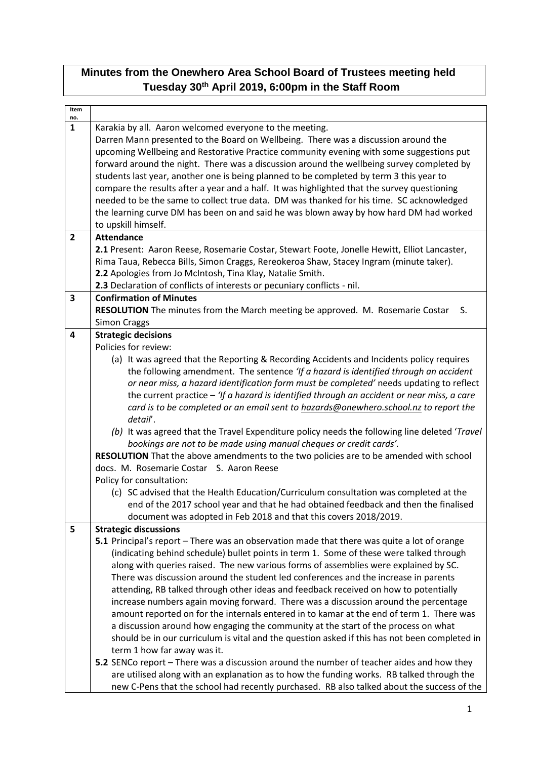## **Minutes from the Onewhero Area School Board of Trustees meeting held Tuesday 30th April 2019, 6:00pm in the Staff Room**

| Item                    |                                                                                                |  |
|-------------------------|------------------------------------------------------------------------------------------------|--|
| no.                     |                                                                                                |  |
| $\mathbf{1}$            | Karakia by all. Aaron welcomed everyone to the meeting.                                        |  |
|                         | Darren Mann presented to the Board on Wellbeing. There was a discussion around the             |  |
|                         | upcoming Wellbeing and Restorative Practice community evening with some suggestions put        |  |
|                         | forward around the night. There was a discussion around the wellbeing survey completed by      |  |
|                         | students last year, another one is being planned to be completed by term 3 this year to        |  |
|                         | compare the results after a year and a half. It was highlighted that the survey questioning    |  |
|                         | needed to be the same to collect true data. DM was thanked for his time. SC acknowledged       |  |
|                         | the learning curve DM has been on and said he was blown away by how hard DM had worked         |  |
|                         | to upskill himself.                                                                            |  |
| $\overline{\mathbf{2}}$ | <b>Attendance</b>                                                                              |  |
|                         | 2.1 Present: Aaron Reese, Rosemarie Costar, Stewart Foote, Jonelle Hewitt, Elliot Lancaster,   |  |
|                         | Rima Taua, Rebecca Bills, Simon Craggs, Rereokeroa Shaw, Stacey Ingram (minute taker).         |  |
|                         | 2.2 Apologies from Jo McIntosh, Tina Klay, Natalie Smith.                                      |  |
|                         | 2.3 Declaration of conflicts of interests or pecuniary conflicts - nil.                        |  |
| 3                       | <b>Confirmation of Minutes</b>                                                                 |  |
|                         | RESOLUTION The minutes from the March meeting be approved. M. Rosemarie Costar<br>S.           |  |
|                         | <b>Simon Craggs</b>                                                                            |  |
| $\overline{\mathbf{4}}$ | <b>Strategic decisions</b>                                                                     |  |
|                         | Policies for review:                                                                           |  |
|                         | (a) It was agreed that the Reporting & Recording Accidents and Incidents policy requires       |  |
|                         | the following amendment. The sentence 'If a hazard is identified through an accident           |  |
|                         | or near miss, a hazard identification form must be completed' needs updating to reflect        |  |
|                         | the current practice $-$ 'If a hazard is identified through an accident or near miss, a care   |  |
|                         | card is to be completed or an email sent to hazards@onewhero.school.nz to report the           |  |
|                         | detail'.                                                                                       |  |
|                         | (b) It was agreed that the Travel Expenditure policy needs the following line deleted 'Travel' |  |
|                         | bookings are not to be made using manual cheques or credit cards'.                             |  |
|                         | RESOLUTION That the above amendments to the two policies are to be amended with school         |  |
|                         | docs. M. Rosemarie Costar S. Aaron Reese                                                       |  |
|                         | Policy for consultation:                                                                       |  |
|                         | (c) SC advised that the Health Education/Curriculum consultation was completed at the          |  |
|                         | end of the 2017 school year and that he had obtained feedback and then the finalised           |  |
|                         | document was adopted in Feb 2018 and that this covers 2018/2019.                               |  |
| 5                       | <b>Strategic discussions</b>                                                                   |  |
|                         | 5.1 Principal's report - There was an observation made that there was quite a lot of orange    |  |
|                         | (indicating behind schedule) bullet points in term 1. Some of these were talked through        |  |
|                         | along with queries raised. The new various forms of assemblies were explained by SC.           |  |
|                         | There was discussion around the student led conferences and the increase in parents            |  |
|                         | attending, RB talked through other ideas and feedback received on how to potentially           |  |
|                         | increase numbers again moving forward. There was a discussion around the percentage            |  |
|                         | amount reported on for the internals entered in to kamar at the end of term 1. There was       |  |
|                         | a discussion around how engaging the community at the start of the process on what             |  |
|                         | should be in our curriculum is vital and the question asked if this has not been completed in  |  |
|                         | term 1 how far away was it.                                                                    |  |
|                         | 5.2 SENCo report - There was a discussion around the number of teacher aides and how they      |  |
|                         | are utilised along with an explanation as to how the funding works. RB talked through the      |  |
|                         |                                                                                                |  |
|                         | new C-Pens that the school had recently purchased. RB also talked about the success of the     |  |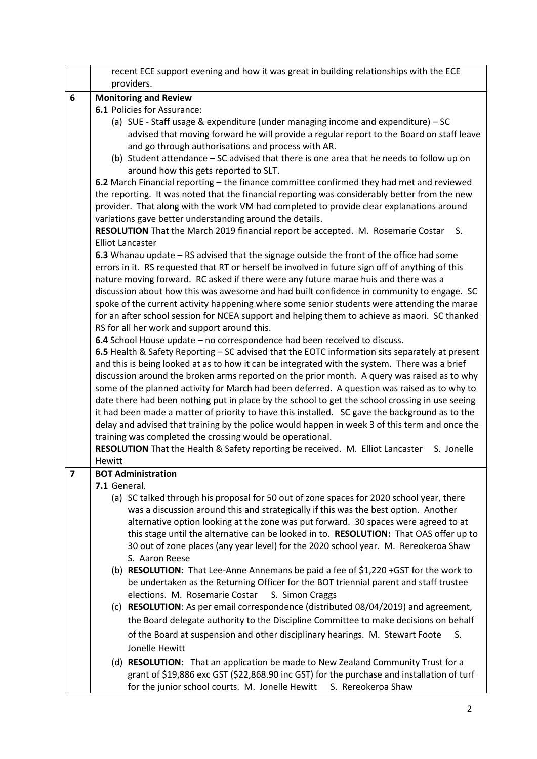|   | recent ECE support evening and how it was great in building relationships with the ECE<br>providers.                                                                         |  |  |
|---|------------------------------------------------------------------------------------------------------------------------------------------------------------------------------|--|--|
| 6 | <b>Monitoring and Review</b>                                                                                                                                                 |  |  |
|   | 6.1 Policies for Assurance:                                                                                                                                                  |  |  |
|   | (a) SUE - Staff usage & expenditure (under managing income and expenditure) - SC                                                                                             |  |  |
|   | advised that moving forward he will provide a regular report to the Board on staff leave                                                                                     |  |  |
|   | and go through authorisations and process with AR.                                                                                                                           |  |  |
|   | (b) Student attendance - SC advised that there is one area that he needs to follow up on                                                                                     |  |  |
|   | around how this gets reported to SLT.                                                                                                                                        |  |  |
|   | 6.2 March Financial reporting – the finance committee confirmed they had met and reviewed                                                                                    |  |  |
|   | the reporting. It was noted that the financial reporting was considerably better from the new                                                                                |  |  |
|   | provider. That along with the work VM had completed to provide clear explanations around                                                                                     |  |  |
|   | variations gave better understanding around the details.                                                                                                                     |  |  |
|   | RESOLUTION That the March 2019 financial report be accepted. M. Rosemarie Costar<br>S.                                                                                       |  |  |
|   | <b>Elliot Lancaster</b>                                                                                                                                                      |  |  |
|   | 6.3 Whanau update $-$ RS advised that the signage outside the front of the office had some                                                                                   |  |  |
|   | errors in it. RS requested that RT or herself be involved in future sign off of anything of this                                                                             |  |  |
|   | nature moving forward. RC asked if there were any future marae huis and there was a                                                                                          |  |  |
|   | discussion about how this was awesome and had built confidence in community to engage. SC                                                                                    |  |  |
|   | spoke of the current activity happening where some senior students were attending the marae                                                                                  |  |  |
|   | for an after school session for NCEA support and helping them to achieve as maori. SC thanked                                                                                |  |  |
|   | RS for all her work and support around this.                                                                                                                                 |  |  |
|   | 6.4 School House update - no correspondence had been received to discuss.<br>6.5 Health & Safety Reporting - SC advised that the EOTC information sits separately at present |  |  |
|   | and this is being looked at as to how it can be integrated with the system. There was a brief                                                                                |  |  |
|   | discussion around the broken arms reported on the prior month. A query was raised as to why                                                                                  |  |  |
|   | some of the planned activity for March had been deferred. A question was raised as to why to                                                                                 |  |  |
|   | date there had been nothing put in place by the school to get the school crossing in use seeing                                                                              |  |  |
|   | it had been made a matter of priority to have this installed. SC gave the background as to the                                                                               |  |  |
|   | delay and advised that training by the police would happen in week 3 of this term and once the                                                                               |  |  |
|   | training was completed the crossing would be operational.                                                                                                                    |  |  |
|   | RESOLUTION That the Health & Safety reporting be received. M. Elliot Lancaster<br>S. Jonelle                                                                                 |  |  |
|   | Hewitt                                                                                                                                                                       |  |  |
| 7 | <b>BOT Administration</b>                                                                                                                                                    |  |  |
|   | 7.1 General.                                                                                                                                                                 |  |  |
|   | (a) SC talked through his proposal for 50 out of zone spaces for 2020 school year, there                                                                                     |  |  |
|   | was a discussion around this and strategically if this was the best option. Another                                                                                          |  |  |
|   | alternative option looking at the zone was put forward. 30 spaces were agreed to at                                                                                          |  |  |
|   | this stage until the alternative can be looked in to. RESOLUTION: That OAS offer up to                                                                                       |  |  |
|   | 30 out of zone places (any year level) for the 2020 school year. M. Rereokeroa Shaw                                                                                          |  |  |
|   | S. Aaron Reese                                                                                                                                                               |  |  |
|   | (b) RESOLUTION: That Lee-Anne Annemans be paid a fee of \$1,220 +GST for the work to                                                                                         |  |  |
|   | be undertaken as the Returning Officer for the BOT triennial parent and staff trustee                                                                                        |  |  |
|   | elections. M. Rosemarie Costar<br>S. Simon Craggs                                                                                                                            |  |  |
|   | (c) RESOLUTION: As per email correspondence (distributed 08/04/2019) and agreement,                                                                                          |  |  |
|   | the Board delegate authority to the Discipline Committee to make decisions on behalf                                                                                         |  |  |
|   | of the Board at suspension and other disciplinary hearings. M. Stewart Foote<br>S.                                                                                           |  |  |
|   | Jonelle Hewitt                                                                                                                                                               |  |  |
|   | (d) RESOLUTION: That an application be made to New Zealand Community Trust for a                                                                                             |  |  |
|   | grant of \$19,886 exc GST (\$22,868.90 inc GST) for the purchase and installation of turf                                                                                    |  |  |
|   | for the junior school courts. M. Jonelle Hewitt S. Rereokeroa Shaw                                                                                                           |  |  |